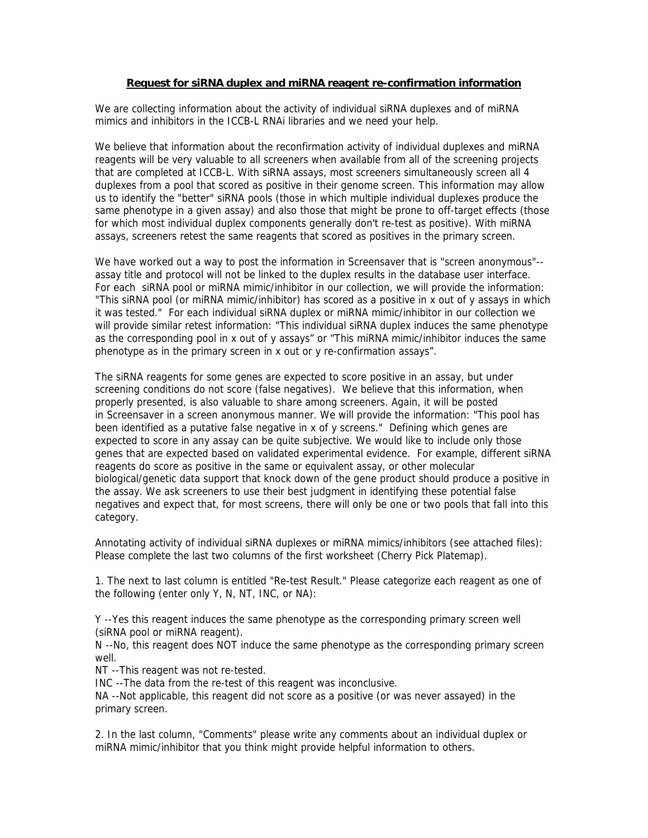## **Request for siRNA duplex and miRNA reagent re-confirmation information**

We are collecting information about the activity of individual siRNA duplexes and of miRNA mimics and inhibitors in the ICCB-L RNAi libraries and we need your help.

We believe that information about the reconfirmation activity of individual duplexes and miRNA reagents will be very valuable to all screeners when available from all of the screening projects that are completed at ICCB-L. With siRNA assays, most screeners simultaneously screen all 4 duplexes from a pool that scored as positive in their genome screen. This information may allow us to identify the "better" siRNA pools (those in which multiple individual duplexes produce the same phenotype in a given assay) and also those that might be prone to off-target effects (those for which most individual duplex components generally don't re-test as positive). With miRNA assays, screeners retest the same reagents that scored as positives in the primary screen.

We have worked out a way to post the information in Screensaver that is "screen anonymous"- assay title and protocol will not be linked to the duplex results in the database user interface. For each siRNA pool or miRNA mimic/inhibitor in our collection, we will provide the information: "This siRNA pool (or miRNA mimic/inhibitor) has scored as a positive in x out of y assays in which it was tested." For each individual siRNA duplex or miRNA mimic/inhibitor in our collection we will provide similar retest information: "This individual siRNA duplex induces the same phenotype as the corresponding pool in x out of y assays" or "This miRNA mimic/inhibitor induces the same phenotype as in the primary screen in x out or y re-confirmation assays".

The siRNA reagents for some genes are expected to score positive in an assay, but under screening conditions do not score (false negatives). We believe that this information, when properly presented, is also valuable to share among screeners. Again, it will be posted in Screensaver in a screen anonymous manner. We will provide the information: "This pool has been identified as a putative false negative in x of y screens." Defining which genes are expected to score in any assay can be quite subjective. We would like to include only those genes that are expected based on validated experimental evidence. For example, different siRNA reagents do score as positive in the same or equivalent assay, or other molecular biological/genetic data support that knock down of the gene product should produce a positive in the assay. We ask screeners to use their best judgment in identifying these potential false negatives and expect that, for most screens, there will only be one or two pools that fall into this category.

Annotating activity of individual siRNA duplexes or miRNA mimics/inhibitors (see attached files): Please complete the last two columns of the first worksheet (Cherry Pick Platemap).

1. The next to last column is entitled "Re-test Result." Please categorize each reagent as one of the following (enter only Y, N, NT, INC, or NA):

Y --Yes this reagent induces the same phenotype as the corresponding primary screen well (siRNA pool or miRNA reagent).

N --No, this reagent does NOT induce the same phenotype as the corresponding primary screen well.

NT --This reagent was not re-tested.

INC --The data from the re-test of this reagent was inconclusive.

NA --Not applicable, this reagent did not score as a positive (or was never assayed) in the primary screen.

2. In the last column, "Comments" please write any comments about an individual duplex or miRNA mimic/inhibitor that you think might provide helpful information to others.